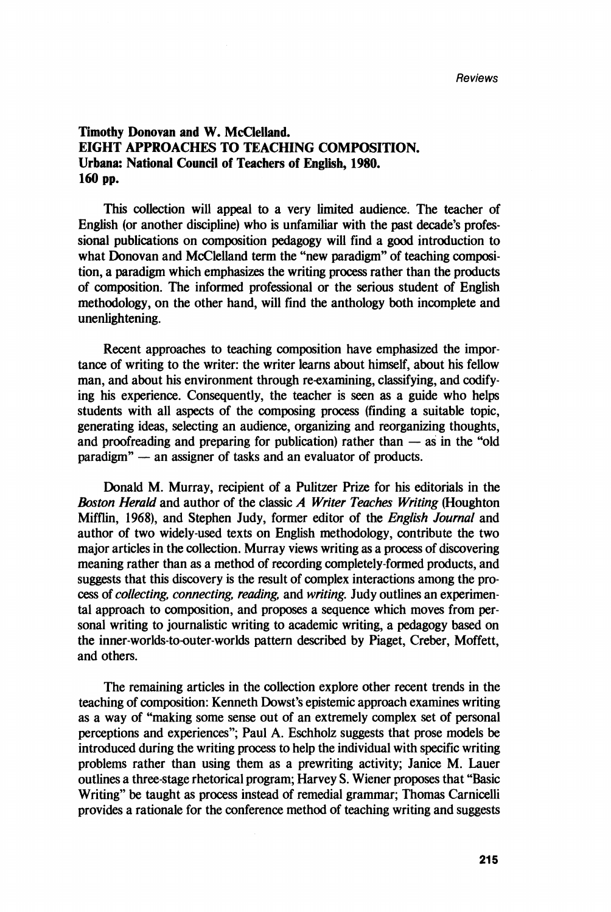## Timothy Donovan and W. McClelland. EIGHT APPROACHES TO TEACHING COMPOSITION. Urbana: National Couneil of Teachers of English, 1980. 160 pp.

This collection will appeal to a very Iimited audience. The teacher of English (or another discipline) who is unfamiliar with the past decade's professional publications on composition pedagogy will find a good introduction to what Donovan and McClelland term the "new paradigm" of teaching composition, a paradigm wbich emphasizes the writing process rather tban the products of composition. The informed professional or the serious student of English methodology, on the other band, will find the anthology both incomplete and unenlightening.

Recent approaches to teaching composition have emphasized the importance of writing to the writer: the writer learns about himself, about his fellow man, and about bis environment through re-examining, classifying, and codifying bis experience. Consequently, the teacher is seen as a guide who helps students with ail aspects of the composing process (finding a suitable topic, generating ideas, selecting an audience, organizing and reorganizing thoughts, and proofreading and preparing for publication) rather than  $-$  as in the "old paradigm" - an assigner of tasks and an evaluator of products.

Donald M. Murray, recipient of a Pulitzer Prize for bis editorials in the *Boston Herald* and author of the classic *A Writer Teaches Writing* (Hougbton Mifflin, 1968), and Stephen Judy, former editor of the *Eng/ish Journa/* and author of two widely-used texts on English methodology, contribute the two major articles in the collection. Murray views writing as a process of discovering meaning rather than as a method of recording completely-formed products, and suggests that this discovery is the result of complex interactions among the process of *co//eeting, conneeting, reading,* and *writing.* Judy outlines an experimental approach to composition, and proposes a sequence wbich moves from personal writing to joumalistic writing to academic writing, a pedagogy based on the inner-worlds-to-outer-worlds pattern described by Piaget, Creber, Moffett, and others.

The remaining articles in the collection explore other recent trends in the teacbing of composition: Kenneth Dowst's epistemic approach examines writing as a way of "making sorne sense out of an extremely complex set of personal perceptions and experiences"; Paul A. Eschholz suggests that prose models be introduced during the writing process to help the individual with specific writing problems rather than using them as a prewriting activity; Janice M. Lauer outlines a three-stage rhetorical program; Harvey S. Wiener proposes tbat "Basic Writing" be taught as process instead of remedial grammar; Thomas Carnicelli provides a rationale for the conference method of teacbing writing and suggests